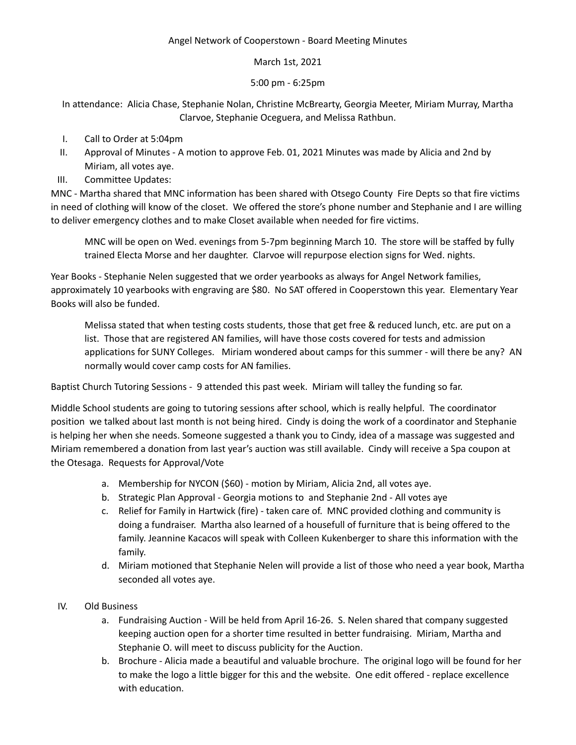## Angel Network of Cooperstown - Board Meeting Minutes

## March 1st, 2021

## 5:00 pm - 6:25pm

In attendance: Alicia Chase, Stephanie Nolan, Christine McBrearty, Georgia Meeter, Miriam Murray, Martha Clarvoe, Stephanie Oceguera, and Melissa Rathbun.

- I. Call to Order at 5:04pm
- II. Approval of Minutes A motion to approve Feb. 01, 2021 Minutes was made by Alicia and 2nd by Miriam, all votes aye.
- III. Committee Updates:

MNC - Martha shared that MNC information has been shared with Otsego County Fire Depts so that fire victims in need of clothing will know of the closet. We offered the store's phone number and Stephanie and I are willing to deliver emergency clothes and to make Closet available when needed for fire victims.

MNC will be open on Wed. evenings from 5-7pm beginning March 10. The store will be staffed by fully trained Electa Morse and her daughter. Clarvoe will repurpose election signs for Wed. nights.

Year Books - Stephanie Nelen suggested that we order yearbooks as always for Angel Network families, approximately 10 yearbooks with engraving are \$80. No SAT offered in Cooperstown this year. Elementary Year Books will also be funded.

Melissa stated that when testing costs students, those that get free & reduced lunch, etc. are put on a list. Those that are registered AN families, will have those costs covered for tests and admission applications for SUNY Colleges. Miriam wondered about camps for this summer - will there be any? AN normally would cover camp costs for AN families.

Baptist Church Tutoring Sessions - 9 attended this past week. Miriam will talley the funding so far.

Middle School students are going to tutoring sessions after school, which is really helpful. The coordinator position we talked about last month is not being hired. Cindy is doing the work of a coordinator and Stephanie is helping her when she needs. Someone suggested a thank you to Cindy, idea of a massage was suggested and Miriam remembered a donation from last year's auction was still available. Cindy will receive a Spa coupon at the Otesaga. Requests for Approval/Vote

- a. Membership for NYCON (\$60) motion by Miriam, Alicia 2nd, all votes aye.
- b. Strategic Plan Approval Georgia motions to and Stephanie 2nd All votes aye
- c. Relief for Family in Hartwick (fire) taken care of. MNC provided clothing and community is doing a fundraiser. Martha also learned of a housefull of furniture that is being offered to the family. Jeannine Kacacos will speak with Colleen Kukenberger to share this information with the family.
- d. Miriam motioned that Stephanie Nelen will provide a list of those who need a year book, Martha seconded all votes aye.
- IV. Old Business
	- a. Fundraising Auction Will be held from April 16-26. S. Nelen shared that company suggested keeping auction open for a shorter time resulted in better fundraising. Miriam, Martha and Stephanie O. will meet to discuss publicity for the Auction.
	- b. Brochure Alicia made a beautiful and valuable brochure. The original logo will be found for her to make the logo a little bigger for this and the website. One edit offered - replace excellence with education.